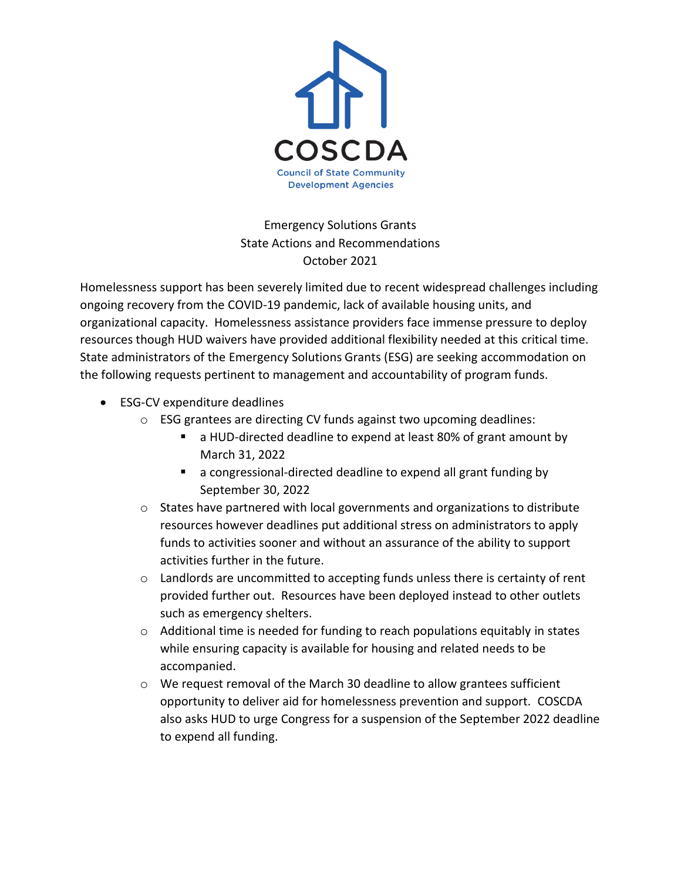

Emergency Solutions Grants State Actions and Recommendations October 2021

Homelessness support has been severely limited due to recent widespread challenges including ongoing recovery from the COVID-19 pandemic, lack of available housing units, and organizational capacity. Homelessness assistance providers face immense pressure to deploy resources though HUD waivers have provided additional flexibility needed at this critical time. State administrators of the Emergency Solutions Grants (ESG) are seeking accommodation on the following requests pertinent to management and accountability of program funds.

- ESG-CV expenditure deadlines
	- o ESG grantees are directing CV funds against two upcoming deadlines:
		- a HUD-directed deadline to expend at least 80% of grant amount by March 31, 2022
		- a congressional-directed deadline to expend all grant funding by September 30, 2022
	- o States have partnered with local governments and organizations to distribute resources however deadlines put additional stress on administrators to apply funds to activities sooner and without an assurance of the ability to support activities further in the future.
	- o Landlords are uncommitted to accepting funds unless there is certainty of rent provided further out. Resources have been deployed instead to other outlets such as emergency shelters.
	- $\circ$  Additional time is needed for funding to reach populations equitably in states while ensuring capacity is available for housing and related needs to be accompanied.
	- $\circ$  We request removal of the March 30 deadline to allow grantees sufficient opportunity to deliver aid for homelessness prevention and support. COSCDA also asks HUD to urge Congress for a suspension of the September 2022 deadline to expend all funding.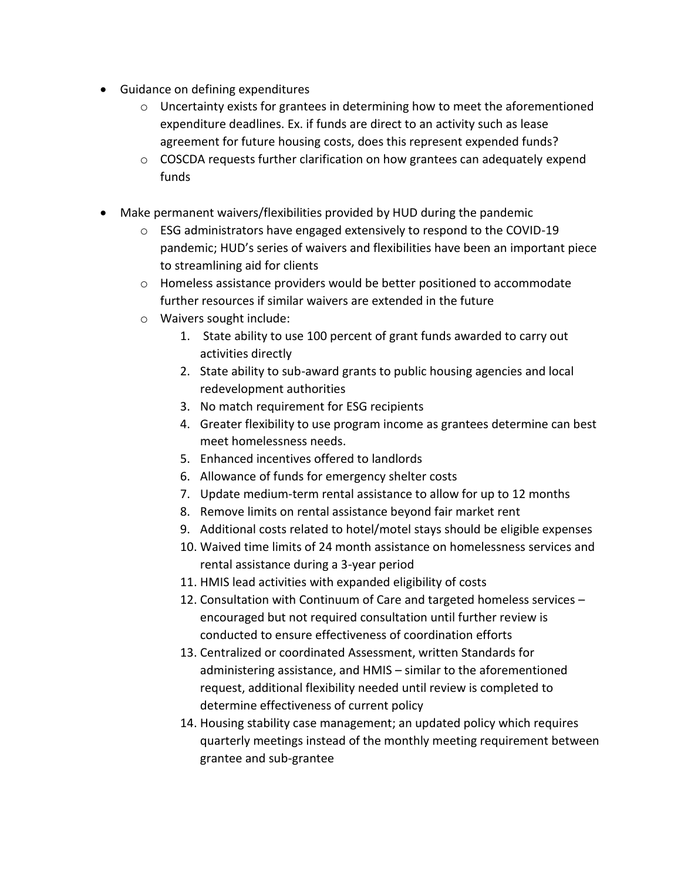- Guidance on defining expenditures
	- $\circ$  Uncertainty exists for grantees in determining how to meet the aforementioned expenditure deadlines. Ex. if funds are direct to an activity such as lease agreement for future housing costs, does this represent expended funds?
	- o COSCDA requests further clarification on how grantees can adequately expend funds
- Make permanent waivers/flexibilities provided by HUD during the pandemic
	- $\circ$  ESG administrators have engaged extensively to respond to the COVID-19 pandemic; HUD's series of waivers and flexibilities have been an important piece to streamlining aid for clients
	- $\circ$  Homeless assistance providers would be better positioned to accommodate further resources if similar waivers are extended in the future
	- o Waivers sought include:
		- 1. State ability to use 100 percent of grant funds awarded to carry out activities directly
		- 2. State ability to sub-award grants to public housing agencies and local redevelopment authorities
		- 3. No match requirement for ESG recipients
		- 4. Greater flexibility to use program income as grantees determine can best meet homelessness needs.
		- 5. Enhanced incentives offered to landlords
		- 6. Allowance of funds for emergency shelter costs
		- 7. Update medium-term rental assistance to allow for up to 12 months
		- 8. Remove limits on rental assistance beyond fair market rent
		- 9. Additional costs related to hotel/motel stays should be eligible expenses
		- 10. Waived time limits of 24 month assistance on homelessness services and rental assistance during a 3-year period
		- 11. HMIS lead activities with expanded eligibility of costs
		- 12. Consultation with Continuum of Care and targeted homeless services encouraged but not required consultation until further review is conducted to ensure effectiveness of coordination efforts
		- 13. Centralized or coordinated Assessment, written Standards for administering assistance, and HMIS – similar to the aforementioned request, additional flexibility needed until review is completed to determine effectiveness of current policy
		- 14. Housing stability case management; an updated policy which requires quarterly meetings instead of the monthly meeting requirement between grantee and sub-grantee